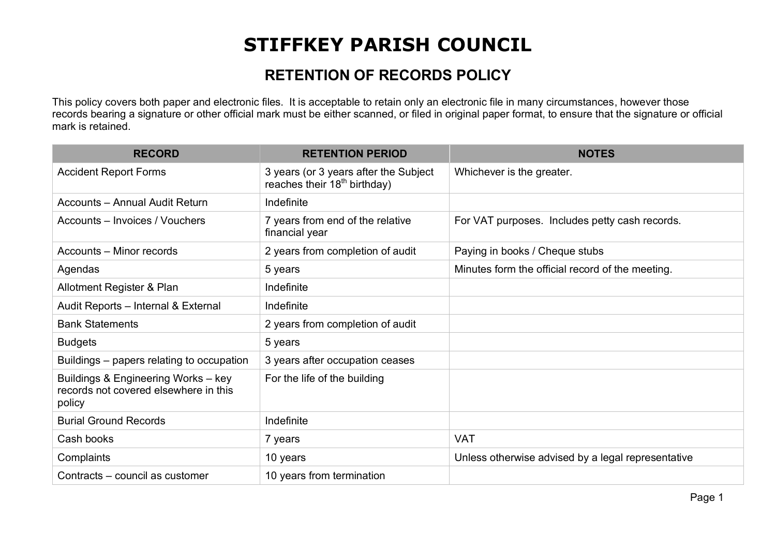## **STIFFKEY PARISH COUNCIL**

## **RETENTION OF RECORDS POLICY**

This policy covers both paper and electronic files. It is acceptable to retain only an electronic file in many circumstances, however those records bearing a signature or other official mark must be either scanned, or filed in original paper format, to ensure that the signature or official mark is retained.

| <b>RECORD</b>                                                                          | <b>RETENTION PERIOD</b>                                                    | <b>NOTES</b>                                       |
|----------------------------------------------------------------------------------------|----------------------------------------------------------------------------|----------------------------------------------------|
| <b>Accident Report Forms</b>                                                           | 3 years (or 3 years after the Subject<br>reaches their $18^{th}$ birthday) | Whichever is the greater.                          |
| <b>Accounts - Annual Audit Return</b>                                                  | Indefinite                                                                 |                                                    |
| Accounts – Invoices / Vouchers                                                         | 7 years from end of the relative<br>financial year                         | For VAT purposes. Includes petty cash records.     |
| Accounts - Minor records                                                               | 2 years from completion of audit                                           | Paying in books / Cheque stubs                     |
| Agendas                                                                                | 5 years                                                                    | Minutes form the official record of the meeting.   |
| Allotment Register & Plan                                                              | Indefinite                                                                 |                                                    |
| Audit Reports - Internal & External                                                    | Indefinite                                                                 |                                                    |
| <b>Bank Statements</b>                                                                 | 2 years from completion of audit                                           |                                                    |
| <b>Budgets</b>                                                                         | 5 years                                                                    |                                                    |
| Buildings – papers relating to occupation                                              | 3 years after occupation ceases                                            |                                                    |
| Buildings & Engineering Works - key<br>records not covered elsewhere in this<br>policy | For the life of the building                                               |                                                    |
| <b>Burial Ground Records</b>                                                           | Indefinite                                                                 |                                                    |
| Cash books                                                                             | 7 years                                                                    | <b>VAT</b>                                         |
| Complaints                                                                             | 10 years                                                                   | Unless otherwise advised by a legal representative |
| Contracts – council as customer                                                        | 10 years from termination                                                  |                                                    |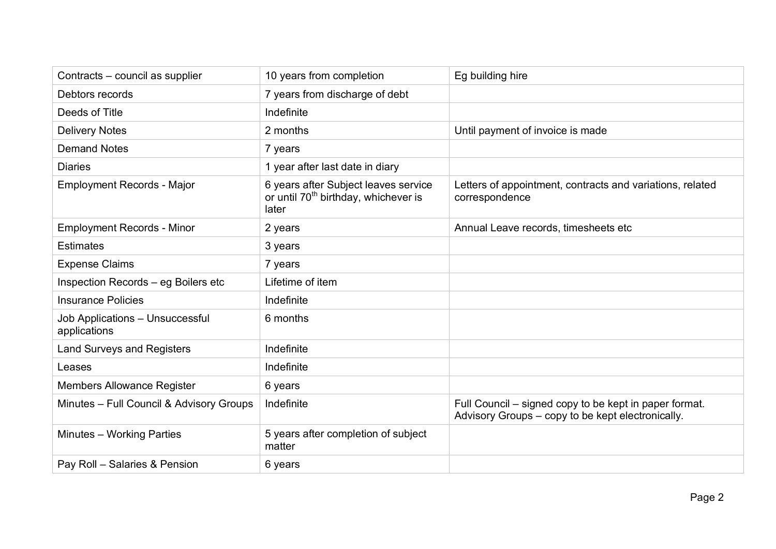| Contracts - council as supplier                 | 10 years from completion                                                                          | Eg building hire                                                                                            |
|-------------------------------------------------|---------------------------------------------------------------------------------------------------|-------------------------------------------------------------------------------------------------------------|
| Debtors records                                 | 7 years from discharge of debt                                                                    |                                                                                                             |
| Deeds of Title                                  | Indefinite                                                                                        |                                                                                                             |
| <b>Delivery Notes</b>                           | 2 months                                                                                          | Until payment of invoice is made                                                                            |
| <b>Demand Notes</b>                             | 7 years                                                                                           |                                                                                                             |
| <b>Diaries</b>                                  | 1 year after last date in diary                                                                   |                                                                                                             |
| <b>Employment Records - Major</b>               | 6 years after Subject leaves service<br>or until 70 <sup>th</sup> birthday, whichever is<br>later | Letters of appointment, contracts and variations, related<br>correspondence                                 |
| <b>Employment Records - Minor</b>               | 2 years                                                                                           | Annual Leave records, timesheets etc                                                                        |
| <b>Estimates</b>                                | 3 years                                                                                           |                                                                                                             |
| <b>Expense Claims</b>                           | 7 years                                                                                           |                                                                                                             |
| Inspection Records - eg Boilers etc             | Lifetime of item                                                                                  |                                                                                                             |
| <b>Insurance Policies</b>                       | Indefinite                                                                                        |                                                                                                             |
| Job Applications - Unsuccessful<br>applications | 6 months                                                                                          |                                                                                                             |
| <b>Land Surveys and Registers</b>               | Indefinite                                                                                        |                                                                                                             |
| Leases                                          | Indefinite                                                                                        |                                                                                                             |
| <b>Members Allowance Register</b>               | 6 years                                                                                           |                                                                                                             |
| Minutes - Full Council & Advisory Groups        | Indefinite                                                                                        | Full Council – signed copy to be kept in paper format.<br>Advisory Groups – copy to be kept electronically. |
| Minutes - Working Parties                       | 5 years after completion of subject<br>matter                                                     |                                                                                                             |
| Pay Roll - Salaries & Pension                   | 6 years                                                                                           |                                                                                                             |